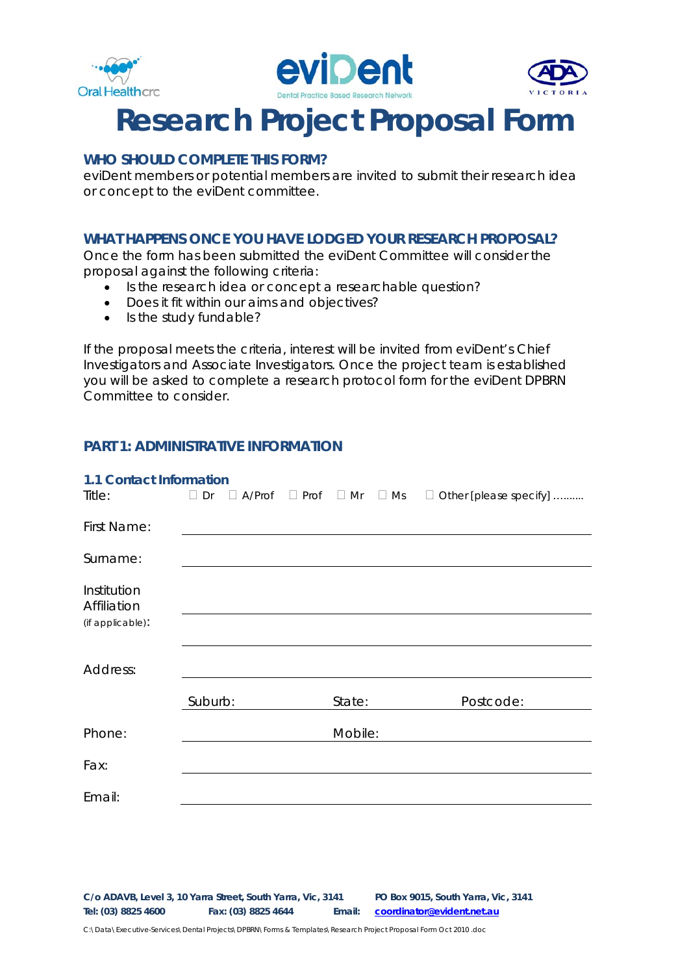





### **WHO SHOULD COMPLETE THIS FORM?**

eviDent members or potential members are invited to submit their research idea or concept to the eviDent committee.

### **WHAT HAPPENS ONCE YOU HAVE LODGED YOUR RESEARCH PROPOSAL?**

Once the form has been submitted the eviDent Committee will consider the proposal against the following criteria:

- Is the research idea or concept a researchable question?
- Does it fit within our aims and objectives?
- Is the study fundable?

If the proposal meets the criteria, interest will be invited from eviDent's Chief Investigators and Associate Investigators. Once the project team is established you will be asked to complete a research protocol form for the eviDent DPBRN Committee to consider.

### **PART 1: ADMINISTRATIVE INFORMATION**

| <b>1.1 Contact Information</b> |           |               |                                 |         |  |                          |  |
|--------------------------------|-----------|---------------|---------------------------------|---------|--|--------------------------|--|
| Title:                         | $\Box$ Dr | $\Box$ A/Prof | $\Box$ Prof $\Box$ Mr $\Box$ Ms |         |  | □ Other [please specify] |  |
| First Name:                    |           |               |                                 |         |  |                          |  |
| Surname:                       |           |               |                                 |         |  |                          |  |
| Institution<br>Affiliation     |           |               |                                 |         |  |                          |  |
| (if applicable):               |           |               |                                 |         |  |                          |  |
|                                |           |               |                                 |         |  |                          |  |
| Address:                       |           |               |                                 |         |  |                          |  |
|                                | Suburb:   |               |                                 | State:  |  | Postcode:                |  |
| Phone:                         |           |               |                                 | Mobile: |  |                          |  |
| Fax:                           |           |               |                                 |         |  |                          |  |
| Email:                         |           |               |                                 |         |  |                          |  |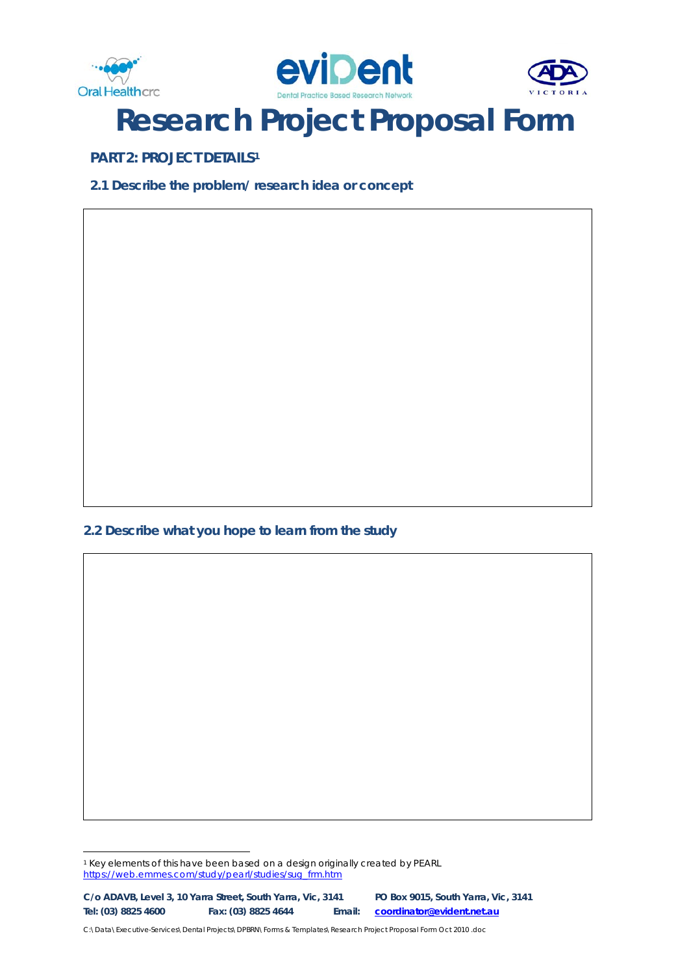





**PART 2: PROJECT DETAILS[1](#page-1-0)**

**2.1 Describe the problem/ research idea or concept**

**2.2 Describe what you hope to learn from the study**

<span id="page-1-0"></span><sup>-</sup><sup>1</sup> Key elements of this have been based on a design originally created by PEARL [https://web.emmes.com/study/pearl/studies/sug\\_frm.htm](https://web.emmes.com/study/pearl/studies/sug_frm.htm)

**C/o ADAVB, Level 3, 10 Yarra Street, South Yarra, Vic, 3141 PO Box 9015, South Yarra, Vic, 3141 Tel: (03) 8825 4600 Fax: (03) 8825 4644 Email: [coordinator@evident.net.au](mailto:coordinator@evident.net.au)**

C:\Data\Executive-Services\Dental Projects\DPBRN\Forms & Templates\Research Project Proposal Form Oct 2010 .doc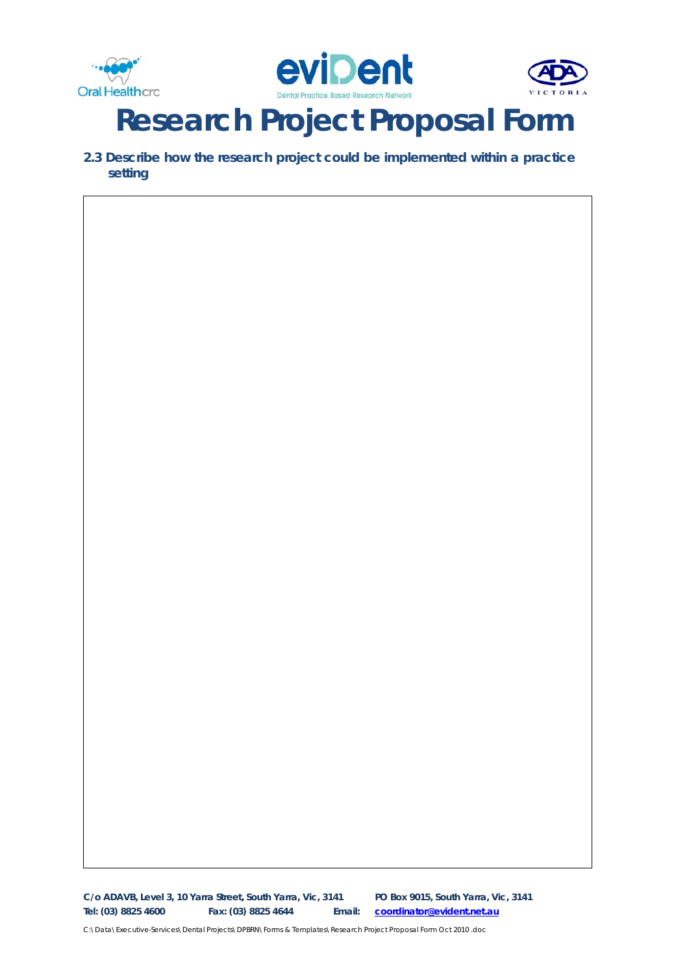





**2.3 Describe how the research project could be implemented within a practice setting**

**C/o ADAVB, Level 3, 10 Yarra Street, South Yarra, Vic, 3141 PO Box 9015, South Yarra, Vic, 3141 Tel: (03) 8825 4600 Fax: (03) 8825 4644 Email: [coordinator@evident.net.au](mailto:coordinator@evident.net.au)**